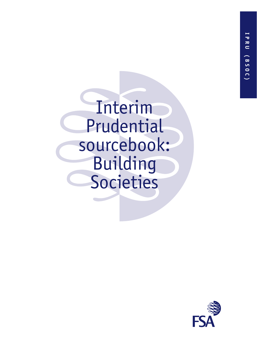Interim Prudential sourcebook: Building **Societies** 

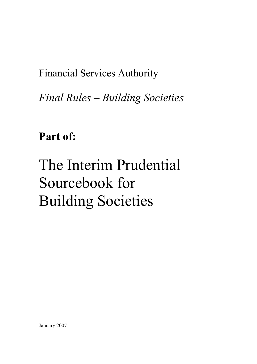Financial Services Authority

*Final Rules – Building Societies*

**Part of:**

# The Interim Prudential Sourcebook for Building Societies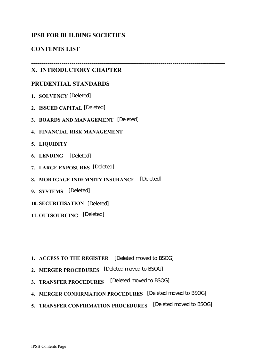# **IPSB FOR BUILDING SOCIETIES**

# **CONTENTS LIST**

# **X. INTRODUCTORY CHAPTER**

**------------------------------------------------------------------------------------------------**

### **PRUDENTIAL STANDARDS**

- **1. SOLVENCY** [Deleted]
- **2. ISSUED CAPITAL** [Deleted]
- **3. BOARDS AND MANAGEMENT** [Deleted]
- **4. FINANCIAL RISK MANAGEMENT**
- **5. LIQUIDITY**
- **6. LENDING** [Deleted]
- **7. LARGE EXPOSURES** [Deleted]
- **8. MORTGAGE INDEMNITY INSURANCE** [Deleted]
- **9. SYSTEMS** [Deleted]
- **10. SECURITISATION** [Deleted]
- **11. OUTSOURCING** [Deleted]

- **1. ACCESS TO THE REGISTER** [Deleted moved to BSOG]
- **2. MERGER PROCEDURES** [Deleted moved to BSOG]
- **3. TRANSFER PROCEDURES** [Deleted moved to BSOG]
- **4. MERGER CONFIRMATION PROCEDURES** [Deleted moved to BSOG]
- **5. TRANSFER CONFIRMATION PROCEDURES** [Deleted moved to BSOG]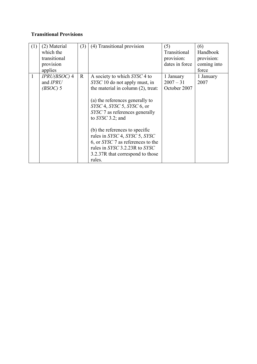# **Transitional Provisions**

| (1)          | (2) Material<br>which the                | (3)         | (4) Transitional provision                                                                                                                                                          | (5)<br>Transitional                      | (6)<br>Handbook   |
|--------------|------------------------------------------|-------------|-------------------------------------------------------------------------------------------------------------------------------------------------------------------------------------|------------------------------------------|-------------------|
|              | transitional                             |             |                                                                                                                                                                                     | provision:                               | provision:        |
|              | provision                                |             |                                                                                                                                                                                     | dates in force                           | coming into       |
|              | applies                                  |             |                                                                                                                                                                                     |                                          | force             |
| $\mathbf{1}$ | $IPRU(BSOC)$ 4<br>and IPRU<br>$(BSOC)$ 5 | $\mathbf R$ | A society to which SYSC 4 to<br>SYSC 10 do not apply must, in<br>the material in column (2), treat:                                                                                 | 1 January<br>$2007 - 31$<br>October 2007 | 1 January<br>2007 |
|              |                                          |             | (a) the references generally to<br>$SYSC$ 4, $SYSC$ 5, $SYSC$ 6, or<br>SYSC 7 as references generally<br>to $SYSC$ 3.2; and                                                         |                                          |                   |
|              |                                          |             | (b) the references to specific<br>rules in SYSC 4, SYSC 5, SYSC<br>6, or SYSC 7 as references to the<br>rules in SYSC 3.2.23R to SYSC<br>3.2.37R that correspond to those<br>rules. |                                          |                   |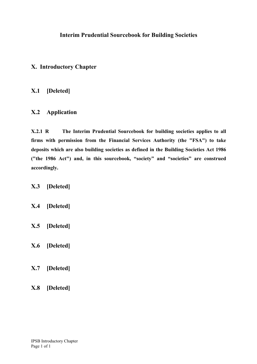# **X. Introductory Chapter**

# **X.1 [Deleted]**

# **X.2 Application**

**X.2.1 R The Interim Prudential Sourcebook for building societies applies to all firms with permission from the Financial Services Authority (the "FSA") to take deposits which are also building societies as defined in the Building Societies Act 1986 ("the 1986 Act") and, in this sourcebook, "society" and "societies" are construed accordingly.** 

**X.3 [Deleted]** 

- **X.4 [Deleted]**
- **X.5 [Deleted]**
- **X.6 [Deleted]**
- **X.7 [Deleted]**
- **X.8 [Deleted]**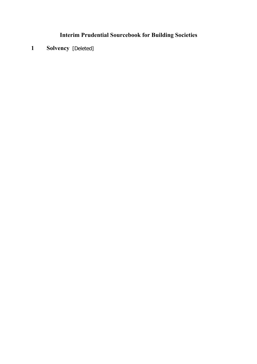**1 Solvency** [Deleted]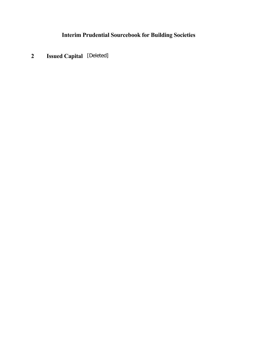**2 Issued Capital** [Deleted]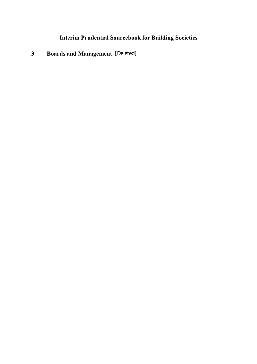**3 Boards and Management** [Deleted]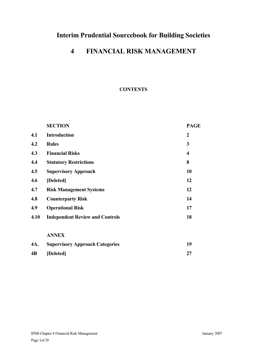# **4 FINANCIAL RISK MANAGEMENT**

### **CONTENTS**

|      | <b>SECTION</b>                         | <b>PAGE</b>             |
|------|----------------------------------------|-------------------------|
| 4.1  | <b>Introduction</b>                    | $\overline{2}$          |
| 4.2  | <b>Rules</b>                           | 3                       |
| 4.3  | <b>Financial Risks</b>                 | $\overline{\mathbf{4}}$ |
| 4.4  | <b>Statutory Restrictions</b>          | 8                       |
| 4.5  | <b>Supervisory Approach</b>            | 10                      |
| 4.6  | [Deleted]                              | 12                      |
| 4.7  | <b>Risk Management Systems</b>         | 12                      |
| 4.8  | <b>Counterparty Risk</b>               | 14                      |
| 4.9  | <b>Operational Risk</b>                | 17                      |
| 4.10 | <b>Independent Review and Controls</b> | 18                      |
|      | <b>ANNEX</b>                           |                         |
| 4A.  | <b>Supervisory Approach Categories</b> | 19                      |
| 4B   | [Deleted]                              | 27                      |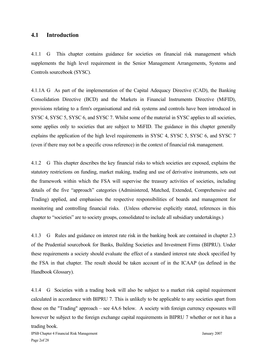#### **4.1 Introduction**

4.1.1 G This chapter contains guidance for societies on financial risk management which supplements the high level requirement in the Senior Management Arrangements, Systems and Controls sourcebook (SYSC).

4.1.1A G As part of the implementation of the Capital Adequacy Directive (CAD), the Banking Consolidation Directive (BCD) and the Markets in Financial Instruments Directive (MiFID), provisions relating to a firm's organisational and risk systems and controls have been introduced in SYSC 4, SYSC 5, SYSC 6, and SYSC 7. Whilst some of the material in SYSC applies to all societies, some applies only to societies that are subject to MiFID. The guidance in this chapter generally explains the application of the high level requirements in SYSC 4, SYSC 5, SYSC 6, and SYSC 7 (even if there may not be a specific cross reference) in the context of financial risk management.

4.1.2 G This chapter describes the key financial risks to which societies are exposed, explains the statutory restrictions on funding, market making, trading and use of derivative instruments, sets out the framework within which the FSA will supervise the treasury activities of societies, including details of the five "approach" categories (Administered, Matched, Extended, Comprehensive and Trading) applied, and emphasises the respective responsibilities of boards and management for monitoring and controlling financial risks. (Unless otherwise explicitly stated, references in this chapter to "societies" are to society groups, consolidated to include all subsidiary undertakings.)

4.1.3 G Rules and guidance on interest rate risk in the banking book are contained in chapter 2.3 of the Prudential sourcebook for Banks, Building Societies and Investment Firms (BIPRU). Under these requirements a society should evaluate the effect of a standard interest rate shock specified by the FSA in that chapter. The result should be taken account of in the ICAAP (as defined in the Handbook Glossary).

4.1.4 G Societies with a trading book will also be subject to a market risk capital requirement calculated in accordance with BIPRU 7. This is unlikely to be applicable to any societies apart from those on the "Trading" approach – see 4A.6 below. A society with foreign currency exposures will however be subject to the foreign exchange capital requirements in BIPRU 7 whether or not it has a trading book.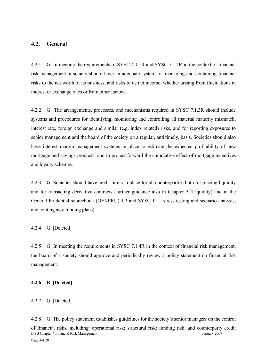#### **4.2. General**

4.2.1 G In meeting the requirements of SYSC 4.1.1R and SYSC 7.1.2R in the context of financial risk management, a society should have an adequate system for managing and containing financial risks to the net worth of its business, and risks to its net income, whether arising from fluctuations in interest or exchange rates or from other factors.

4.2.2 G The arrangements, processes, and mechanisms required in SYSC 7.1.3R should include systems and procedures for identifying, monitoring and controlling all material maturity mismatch, interest rate, foreign exchange and similar (e.g. index related) risks, and for reporting exposures to senior management and the board of the society on a regular, and timely, basis. Societies should also have interest margin management systems in place to estimate the expected profitability of new mortgage and savings products, and to project forward the cumulative effect of mortgage incentives and loyalty schemes.

4.2.3 G Societies should have credit limits in place for all counterparties both for placing liquidity and for transacting derivative contracts (further guidance also in Chapter 5 (Liquidity) and in the General Prudential sourcebook (GENPRU) 1.2 and SYSC 11 – stress testing and scenario analysis, and contingency funding plans).

4.2.4 G [Deleted]

4.2.5 G In meeting the requirements in SYSC 7.1.4R in the context of financial risk management, the board of a society should approve and periodically review a policy statement on financial risk management.

#### **4.2.6 R [Deleted]**

#### 4.2.7 G [Deleted]

IPSB Chapter 4 Financial Risk Management January 2007 Page 3of 28 4.2.8 G The policy statement establishes guidelines for the society's senior managers on the control of financial risks, including: operational risk; structural risk; funding risk; and counterparty credit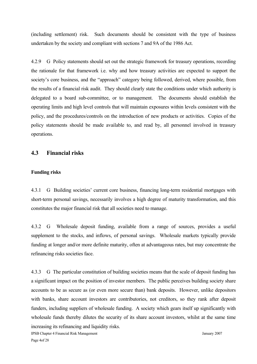(including settlement) risk. Such documents should be consistent with the type of business undertaken by the society and compliant with sections 7 and 9A of the 1986 Act.

4.2.9 G Policy statements should set out the strategic framework for treasury operations, recording the rationale for that framework i.e. why and how treasury activities are expected to support the society's core business, and the "approach" category being followed, derived, where possible, from the results of a financial risk audit. They should clearly state the conditions under which authority is delegated to a board sub-committee, or to management. The documents should establish the operating limits and high level controls that will maintain exposures within levels consistent with the policy, and the procedures/controls on the introduction of new products or activities. Copies of the policy statements should be made available to, and read by, all personnel involved in treasury operations.

#### **4.3 Financial risks**

#### **Funding risks**

4.3.1 G Building societies' current core business, financing long-term residential mortgages with short-term personal savings, necessarily involves a high degree of maturity transformation, and this constitutes the major financial risk that all societies need to manage.

4.3.2 G Wholesale deposit funding, available from a range of sources, provides a useful supplement to the stocks, and inflows, of personal savings. Wholesale markets typically provide funding at longer and/or more definite maturity, often at advantageous rates, but may concentrate the refinancing risks societies face.

4.3.3 G The particular constitution of building societies means that the scale of deposit funding has a significant impact on the position of investor members. The public perceives building society share accounts to be as secure as (or even more secure than) bank deposits. However, unlike depositors with banks, share account investors are contributories, not creditors, so they rank after deposit funders, including suppliers of wholesale funding. A society which gears itself up significantly with wholesale funds thereby dilutes the security of its share account investors, whilst at the same time increasing its refinancing and liquidity risks.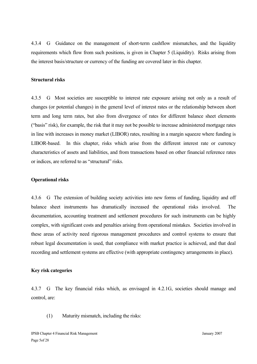4.3.4 G Guidance on the management of short-term cashflow mismatches, and the liquidity requirements which flow from such positions, is given in Chapter 5 (Liquidity). Risks arising from the interest basis/structure or currency of the funding are covered later in this chapter.

#### **Structural risks**

4.3.5 G Most societies are susceptible to interest rate exposure arising not only as a result of changes (or potential changes) in the general level of interest rates or the relationship between short term and long term rates, but also from divergence of rates for different balance sheet elements ("basis" risk), for example, the risk that it may not be possible to increase administered mortgage rates in line with increases in money market (LIBOR) rates, resulting in a margin squeeze where funding is LIBOR-based. In this chapter, risks which arise from the different interest rate or currency characteristics of assets and liabilities, and from transactions based on other financial reference rates or indices, are referred to as "structural" risks.

#### **Operational risks**

4.3.6 G The extension of building society activities into new forms of funding, liquidity and off balance sheet instruments has dramatically increased the operational risks involved. The documentation, accounting treatment and settlement procedures for such instruments can be highly complex, with significant costs and penalties arising from operational mistakes. Societies involved in these areas of activity need rigorous management procedures and control systems to ensure that robust legal documentation is used, that compliance with market practice is achieved, and that deal recording and settlement systems are effective (with appropriate contingency arrangements in place).

#### **Key risk categories**

4.3.7 G The key financial risks which, as envisaged in 4.2.1G, societies should manage and control, are:

(1) Maturity mismatch, including the risks: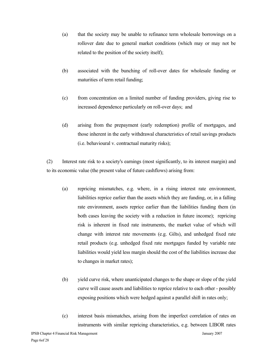- (a) that the society may be unable to refinance term wholesale borrowings on a rollover date due to general market conditions (which may or may not be related to the position of the society itself);
- (b) associated with the bunching of roll-over dates for wholesale funding or maturities of term retail funding;
- (c) from concentration on a limited number of funding providers, giving rise to increased dependence particularly on roll-over days; and
- (d) arising from the prepayment (early redemption) profile of mortgages, and those inherent in the early withdrawal characteristics of retail savings products (i.e. behavioural v. contractual maturity risks);

(2) Interest rate risk to a society's earnings (most significantly, to its interest margin) and to its economic value (the present value of future cashflows) arising from:

- (a) repricing mismatches, e.g. where, in a rising interest rate environment, liabilities reprice earlier than the assets which they are funding, or, in a falling rate environment, assets reprice earlier than the liabilities funding them (in both cases leaving the society with a reduction in future income); repricing risk is inherent in fixed rate instruments, the market value of which will change with interest rate movements (e.g. Gilts), and unhedged fixed rate retail products (e.g. unhedged fixed rate mortgages funded by variable rate liabilities would yield less margin should the cost of the liabilities increase due to changes in market rates);
- (b) yield curve risk, where unanticipated changes to the shape or slope of the yield curve will cause assets and liabilities to reprice relative to each other - possibly exposing positions which were hedged against a parallel shift in rates only;
- (c) interest basis mismatches, arising from the imperfect correlation of rates on instruments with similar repricing characteristics, e.g. between LIBOR rates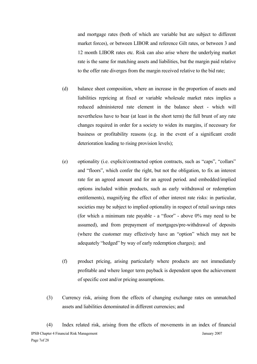and mortgage rates (both of which are variable but are subject to different market forces), or between LIBOR and reference Gilt rates, or between 3 and 12 month LIBOR rates etc. Risk can also arise where the underlying market rate is the same for matching assets and liabilities, but the margin paid relative to the offer rate diverges from the margin received relative to the bid rate;

- (d) balance sheet composition, where an increase in the proportion of assets and liabilities repricing at fixed or variable wholesale market rates implies a reduced administered rate element in the balance sheet - which will nevertheless have to bear (at least in the short term) the full brunt of any rate changes required in order for a society to widen its margins, if necessary for business or profitability reasons (e.g. in the event of a significant credit deterioration leading to rising provision levels);
- (e) optionality (i.e. explicit/contracted option contracts, such as "caps", "collars" and "floors", which confer the right, but not the obligation, to fix an interest rate for an agreed amount and for an agreed period. and embedded/implied options included within products, such as early withdrawal or redemption entitlements), magnifying the effect of other interest rate risks: in particular, societies may be subject to implied optionality in respect of retail savings rates (for which a minimum rate payable - a "floor" - above 0% may need to be assumed), and from prepayment of mortgages/pre-withdrawal of deposits (where the customer may effectively have an "option" which may not be adequately "hedged" by way of early redemption charges); and
- (f) product pricing, arising particularly where products are not immediately profitable and where longer term payback is dependent upon the achievement of specific cost and/or pricing assumptions.
- (3) Currency risk, arising from the effects of changing exchange rates on unmatched assets and liabilities denominated in different currencies; and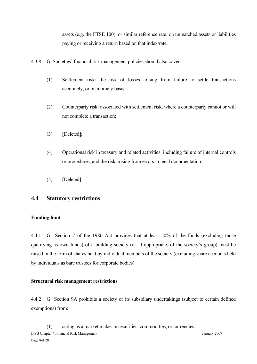assets (e.g. the FTSE 100), or similar reference rate, on unmatched assets or liabilities paying or receiving a return based on that index/rate.

- 4.3.8 G Societies' financial risk management policies should also cover:
	- (1) Settlement risk: the risk of losses arising from failure to settle transactions accurately, or on a timely basis;
	- (2) Counterparty risk: associated with settlement risk, where a counterparty cannot or will not complete a transaction;
	- (3) [Deleted];
	- (4) Operational risk in treasury and related activities: including failure of internal controls or procedures, and the risk arising from errors in legal documentation.
	- (5) [Deleted]

#### **4.4 Statutory restrictions**

#### **Funding limit**

4.4.1 G Section 7 of the 1986 Act provides that at least 50% of the funds (excluding those qualifying as own funds) of a building society (or, if appropriate, of the society's group) must be raised in the form of shares held by individual members of the society (excluding share accounts held by individuals as bare trustees for corporate bodies).

#### **Structural risk management restrictions**

4.4.2 G Section 9A prohibits a society or its subsidiary undertakings (subject to certain defined exemptions) from:

IPSB Chapter 4 Financial Risk Management January 2007 Page 8of 28 (1) acting as a market maker in securities, commodities, or currencies;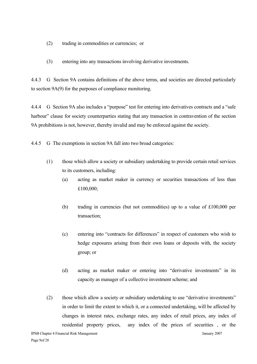- (2) trading in commodities or currencies; or
- (3) entering into any transactions involving derivative investments.

4.4.3 G Section 9A contains definitions of the above terms, and societies are directed particularly to section 9A(9) for the purposes of compliance monitoring.

4.4.4 G Section 9A also includes a "purpose" test for entering into derivatives contracts and a "safe harbour" clause for society counterparties stating that any transaction in contravention of the section 9A prohibitions is not, however, thereby invalid and may be enforced against the society.

4.4.5 G The exemptions in section 9A fall into two broad categories:

- (1) those which allow a society or subsidiary undertaking to provide certain retail services to its customers, including:
	- (a) acting as market maker in currency or securities transactions of less than £100,000;
	- (b) trading in currencies (but not commodities) up to a value of £100,000 per transaction;
	- (c) entering into "contracts for differences" in respect of customers who wish to hedge exposures arising from their own loans or deposits with, the society group; or
	- (d) acting as market maker or entering into "derivative investments" in its capacity as manager of a collective investment scheme; and
- (2) those which allow a society or subsidiary undertaking to use "derivative investments" in order to limit the extent to which it, or a connected undertaking, will be affected by changes in interest rates, exchange rates, any index of retail prices, any index of residential property prices, any index of the prices of securities , or the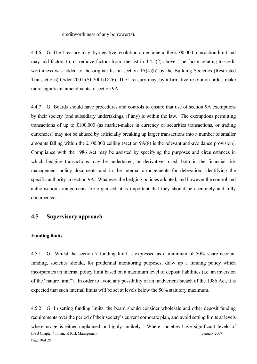creditworthiness of any borrower(s).

4.4.6 G The Treasury may, by negative resolution order, amend the £100,000 transaction limit and may add factors to, or remove factors from, the list in 4.4.5(2) above. The factor relating to credit worthiness was added to the original list in section 9A(4)(b) by the Building Societies (Restricted Transactions) Order 2001 (SI 2001/1826). The Treasury may, by affirmative resolution order, make more significant amendments to section 9A.

4.4.7 G Boards should have procedures and controls to ensure that use of section 9A exemptions by their society (and subsidiary undertakings, if any) is within the law. The exemptions permitting transactions of up to £100,000 (as market-maker in currency or securities transactions, or trading currencies) may not be abused by artificially breaking up larger transactions into a number of smaller amounts falling within the £100,000 ceiling (section 9A(8) is the relevant anti-avoidance provision). Compliance with the 1986 Act may be assisted by specifying the purposes and circumstances in which hedging transactions may be undertaken, or derivatives used, both in the financial risk management policy documents and in the internal arrangements for delegation, identifying the specific authority in section 9A. Whatever the hedging policies adopted, and however the control and authorisation arrangements are organised, it is important that they should be accurately and fully documented.

### **4.5 Supervisory approach**

#### **Funding limits**

4.5.1 G Whilst the section 7 funding limit is expressed as a minimum of 50% share account funding, societies should, for prudential monitoring purposes, draw up a funding policy which incorporates an internal policy limit based on a maximum level of deposit liabilities (i.e. an inversion of the "nature limit"). In order to avoid any possibility of an inadvertent breach of the 1986 Act, it is expected that such internal limits will be set at levels below the 50% statutory maximum.

IPSB Chapter 4 Financial Risk Management January 2007 Page 10of 28 4.5.2 G In setting funding limits, the board should consider wholesale and other deposit funding requirements over the period of their society's current corporate plan, and avoid setting limits at levels where usage is either unplanned or highly unlikely. Where societies have significant levels of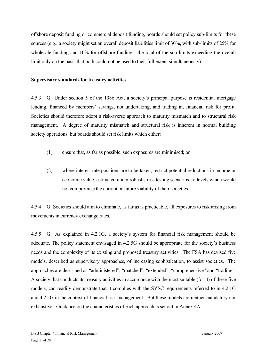offshore deposit funding or commercial deposit funding, boards should set policy sub-limits for these sources (e.g., a society might set an overall deposit liabilities limit of 30%, with sub-limits of 25% for wholesale funding and 10% for offshore funding - the total of the sub-limits exceeding the overall limit only on the basis that both could not be used to their full extent simultaneously).

#### **Supervisory standards for treasury activities**

4.5.3 G Under section 5 of the 1986 Act, a society's principal purpose is residential mortgage lending, financed by members' savings, not undertaking, and trading in, financial risk for profit. Societies should therefore adopt a risk-averse approach to maturity mismatch and to structural risk management. A degree of maturity mismatch and structural risk is inherent in normal building society operations, but boards should set risk limits which either:

- (1) ensure that, as far as possible, such exposures are minimised; or
- (2) where interest rate positions are to be taken, restrict potential reductions in income or economic value, estimated under robust stress testing scenarios, to levels which would not compromise the current or future viability of their societies.

4.5.4 G Societies should aim to eliminate, as far as is practicable, all exposures to risk arising from movements in currency exchange rates.

4.5.5 G As explained in 4.2.1G, a society's system for financial risk management should be adequate. The policy statement envisaged in 4.2.5G should be appropriate for the society's business needs and the complexity of its existing and proposed treasury activities. The FSA has devised five models, described as supervisory approaches, of increasing sophistication, to assist societies. The approaches are described as "administered", "matched", "extended", "comprehensive" and "trading". A society that conducts its treasury activities in accordance with the most suitable (for it) of these five models, can readily demonstrate that it complies with the SYSC requirements referred to in 4.2.1G and 4.2.5G in the context of financial risk management. But these models are neither mandatory nor exhaustive. Guidance on the characteristics of each approach is set out in Annex 4A.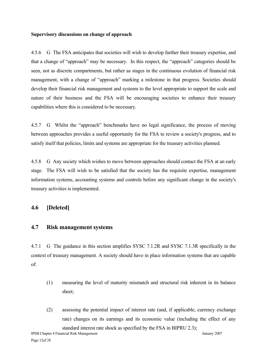#### **Supervisory discussions on change of approach**

4.5.6 G The FSA anticipates that societies will wish to develop further their treasury expertise, and that a change of "approach" may be necessary. In this respect, the "approach" categories should be seen, not as discrete compartments, but rather as stages in the continuous evolution of financial risk management, with a change of "approach" marking a milestone in that progress. Societies should develop their financial risk management and systems to the level appropriate to support the scale and nature of their business and the FSA will be encouraging societies to enhance their treasury capabilities where this is considered to be necessary.

4.5.7 G Whilst the "approach" benchmarks have no legal significance, the process of moving between approaches provides a useful opportunity for the FSA to review a society's progress, and to satisfy itself that policies, limits and systems are appropriate for the treasury activities planned.

4.5.8 G Any society which wishes to move between approaches should contact the FSA at an early stage. The FSA will wish to be satisfied that the society has the requisite expertise, management information systems, accounting systems and controls before any significant change in the society's treasury activities is implemented.

### **4.6 [Deleted]**

#### **4.7 Risk management systems**

4.7.1 G The guidance in this section amplifies SYSC 7.1.2R and SYSC 7.1.3R specifically in the context of treasury management. A society should have in place information systems that are capable of:

- (1) measuring the level of maturity mismatch and structural risk inherent in its balance sheet;
- (2) assessing the potential impact of interest rate (and, if applicable, currency exchange rate) changes on its earnings and its economic value (including the effect of any standard interest rate shock as specified by the FSA in BIPRU 2.3);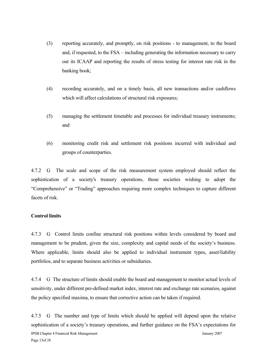- (3) reporting accurately, and promptly, on risk positions to management, to the board and, if requested, to the FSA – including generating the information necessary to carry out its ICAAP and reporting the results of stress testing for interest rate risk in the banking book;
- (4) recording accurately, and on a timely basis, all new transactions and/or cashflows which will affect calculations of structural risk exposures;
- (5) managing the settlement timetable and processes for individual treasury instruments; and
- (6) monitoring credit risk and settlement risk positions incurred with individual and groups of counterparties.

4.7.2 G The scale and scope of the risk measurement system employed should reflect the sophistication of a society's treasury operations, those societies wishing to adopt the "Comprehensive" or "Trading" approaches requiring more complex techniques to capture different facets of risk.

#### **Control limits**

4.7.3 G Control limits confine structural risk positions within levels considered by board and management to be prudent, given the size, complexity and capital needs of the society's business. Where applicable, limits should also be applied to individual instrument types, asset/liability portfolios, and to separate business activities or subsidiaries.

4.7.4 G The structure of limits should enable the board and management to monitor actual levels of sensitivity, under different pre-defined market index, interest rate and exchange rate scenarios, against the policy specified maxima, to ensure that corrective action can be taken if required.

IPSB Chapter 4 Financial Risk Management January 2007 Page 13of 28 4.7.5 G The number and type of limits which should be applied will depend upon the relative sophistication of a society's treasury operations, and further guidance on the FSA's expectations for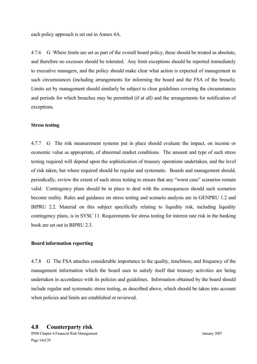each policy approach is set out in Annex 4A.

4.7.6 G Where limits are set as part of the overall board policy, these should be treated as absolute, and therefore no excesses should be tolerated. Any limit exceptions should be reported immediately to executive managers, and the policy should make clear what action is expected of management in such circumstances (including arrangements for informing the board and the FSA of the breach). Limits set by management should similarly be subject to clear guidelines covering the circumstances and periods for which breaches may be permitted (if at all) and the arrangements for notification of exceptions.

#### **Stress testing**

4.7.7 G The risk measurement systems put in place should evaluate the impact, on income or economic value as appropriate, of abnormal market conditions. The amount and type of such stress testing required will depend upon the sophistication of treasury operations undertaken, and the level of risk taken, but where required should be regular and systematic. Boards and management should, periodically, review the extent of such stress testing to ensure that any "worst case" scenarios remain valid. Contingency plans should be in place to deal with the consequences should such scenarios become reality. Rules and guidance on stress testing and scenario analysis are in GENPRU 1.2 and BIPRU 2.2. Material on this subject specifically relating to liquidity risk, including liquidity contingency plans, is in SYSC 11. Requirements for stress testing for interest rate risk in the banking book are set out in BIPRU 2.3.

#### **Board information reporting**

4.7.8 G The FSA attaches considerable importance to the quality, timeliness, and frequency of the management information which the board uses to satisfy itself that treasury activities are being undertaken in accordance with its policies and guidelines. Information obtained by the board should include regular and systematic stress testing, as described above, which should be taken into account when policies and limits are established or reviewed.

#### **4.8 Counterparty risk**

IPSB Chapter 4 Financial Risk Management January 2007 Page 14of 28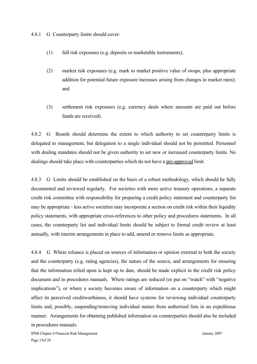4.8.1 G Counterparty limits should cover:

- (1) full risk exposures (e.g. deposits or marketable instruments);
- (2) market risk exposures (e.g. mark to market positive value of swaps, plus appropriate addition for potential future exposure increases arising from changes in market rates); and
- (3) settlement risk exposures (e.g. currency deals where amounts are paid out before funds are received).

4.8.2 G Boards should determine the extent to which authority to set counterparty limits is delegated to management, but delegation to a single individual should not be permitted. Personnel with dealing mandates should not be given authority to set new or increased counterparty limits. No dealings should take place with counterparties which do not have a pre-approved limit.

4.8.3 G Limits should be established on the basis of a robust methodology, which should be fully documented and reviewed regularly. For societies with more active treasury operations, a separate credit risk committee with responsibility for preparing a credit policy statement and counterparty list may be appropriate - less active societies may incorporate a section on credit risk within their liquidity policy statements, with appropriate cross-references to other policy and procedures statements. In all cases, the counterparty list and individual limits should be subject to formal credit review at least annually, with interim arrangements in place to add, amend or remove limits as appropriate.

4.8.4 G Where reliance is placed on sources of information or opinion external to both the society and the counterparty (e.g. rating agencies), the nature of the source, and arrangements for ensuring that the information relied upon is kept up to date, should be made explicit in the credit risk policy document and in procedures manuals. Where ratings are reduced (or put on "watch" with "negative implications"), or where a society becomes aware of information on a counterparty which might affect its perceived creditworthiness, it should have systems for reviewing individual counterparty limits and, possibly, suspending/removing individual names from authorised lists in an expeditious manner. Arrangements for obtaining published information on counterparties should also be included in procedures manuals.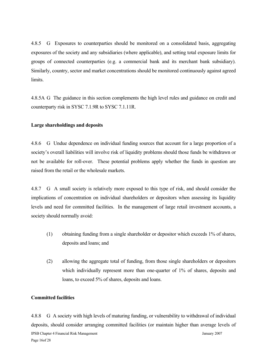4.8.5 G Exposures to counterparties should be monitored on a consolidated basis, aggregating exposures of the society and any subsidiaries (where applicable), and setting total exposure limits for groups of connected counterparties (e.g. a commercial bank and its merchant bank subsidiary). Similarly, country, sector and market concentrations should be monitored continuously against agreed limits.

4.8.5A G The guidance in this section complements the high level rules and guidance on credit and counterparty risk in SYSC 7.1.9R to SYSC 7.1.11R.

#### **Large shareholdings and deposits**

4.8.6 G Undue dependence on individual funding sources that account for a large proportion of a society's overall liabilities will involve risk of liquidity problems should those funds be withdrawn or not be available for roll-over. These potential problems apply whether the funds in question are raised from the retail or the wholesale markets.

4.8.7 G A small society is relatively more exposed to this type of risk, and should consider the implications of concentration on individual shareholders or depositors when assessing its liquidity levels and need for committed facilities. In the management of large retail investment accounts, a society should normally avoid:

- (1) obtaining funding from a single shareholder or depositor which exceeds 1% of shares, deposits and loans; and
- (2) allowing the aggregate total of funding, from those single shareholders or depositors which individually represent more than one-quarter of 1% of shares, deposits and loans, to exceed 5% of shares, deposits and loans.

#### **Committed facilities**

IPSB Chapter 4 Financial Risk Management January 2007 Page 16of 28 4.8.8 G A society with high levels of maturing funding, or vulnerability to withdrawal of individual deposits, should consider arranging committed facilities (or maintain higher than average levels of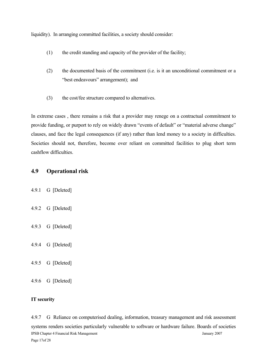liquidity). In arranging committed facilities, a society should consider:

- (1) the credit standing and capacity of the provider of the facility;
- (2) the documented basis of the commitment (i.e. is it an unconditional commitment or a "best endeavours" arrangement); and
- (3) the cost/fee structure compared to alternatives.

In extreme cases , there remains a risk that a provider may renege on a contractual commitment to provide funding, or purport to rely on widely drawn "events of default" or "material adverse change" clauses, and face the legal consequences (if any) rather than lend money to a society in difficulties. Societies should not, therefore, become over reliant on committed facilities to plug short term cashflow difficulties.

### **4.9 Operational risk**

- 4.9.1 G [Deleted]
- 4.9.2 G [Deleted]
- 4.9.3 G [Deleted]
- 4.9.4 G [Deleted]
- 4.9.5 G [Deleted]
- 4.9.6 G [Deleted]

#### **IT security**

IPSB Chapter 4 Financial Risk Management January 2007 Page 17of 28 4.9.7 G Reliance on computerised dealing, information, treasury management and risk assessment systems renders societies particularly vulnerable to software or hardware failure. Boards of societies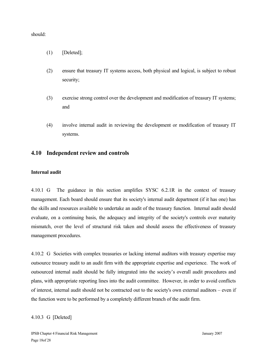should:

- $(1)$  [Deleted];
- (2) ensure that treasury IT systems access, both physical and logical, is subject to robust security;
- (3) exercise strong control over the development and modification of treasury IT systems; and
- (4) involve internal audit in reviewing the development or modification of treasury IT systems.

### **4.10 Independent review and controls**

#### **Internal audit**

4.10.1 G The guidance in this section amplifies SYSC 6.2.1R in the context of treasury management. Each board should ensure that its society's internal audit department (if it has one) has the skills and resources available to undertake an audit of the treasury function. Internal audit should evaluate, on a continuing basis, the adequacy and integrity of the society's controls over maturity mismatch, over the level of structural risk taken and should assess the effectiveness of treasury management procedures.

4.10.2 G Societies with complex treasuries or lacking internal auditors with treasury expertise may outsource treasury audit to an audit firm with the appropriate expertise and experience. The work of outsourced internal audit should be fully integrated into the society's overall audit procedures and plans, with appropriate reporting lines into the audit committee. However, in order to avoid conflicts of interest, internal audit should not be contracted out to the society's own external auditors – even if the function were to be performed by a completely different branch of the audit firm.

#### 4.10.3 G [Deleted]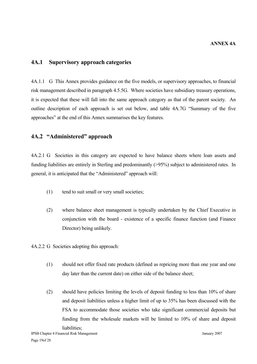### **4A.1 Supervisory approach categories**

4A.1.1 G This Annex provides guidance on the five models, or supervisory approaches, to financial risk management described in paragraph 4.5.5G. Where societies have subsidiary treasury operations, it is expected that these will fall into the same approach category as that of the parent society. An outline description of each approach is set out below, and table 4A.7G "Summary of the five approaches" at the end of this Annex summarises the key features.

### **4A.2 "Administered" approach**

4A.2.1 G Societies in this category are expected to have balance sheets where loan assets and funding liabilities are entirely in Sterling and predominantly (>95%) subject to administered rates. In general, it is anticipated that the "Administered" approach will:

- (1) tend to suit small or very small societies;
- (2) where balance sheet management is typically undertaken by the Chief Executive in conjunction with the board - existence of a specific finance function (and Finance Director) being unlikely.

4A.2.2 G Societies adopting this approach:

- (1) should not offer fixed rate products (defined as repricing more than one year and one day later than the current date) on either side of the balance sheet;
- (2) should have policies limiting the levels of deposit funding to less than 10% of share and deposit liabilities unless a higher limit of up to 35% has been discussed with the FSA to accommodate those societies who take significant commercial deposits but funding from the wholesale markets will be limited to 10% of share and deposit liabilities<sup>.</sup>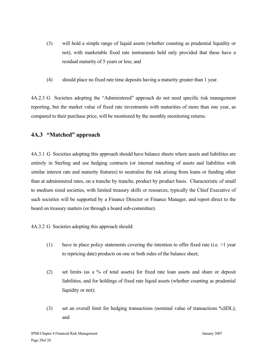- (3) will hold a simple range of liquid assets (whether counting as prudential liquidity or not), with marketable fixed rate instruments held only provided that these have a residual maturity of 5 years or less; and
- (4) should place no fixed rate time deposits having a maturity greater than 1 year.

4A.2.3 G Societies adopting the "Administered" approach do not need specific risk management reporting, but the market value of fixed rate investments with maturities of more than one year, as compared to their purchase price, will be monitored by the monthly monitoring returns.

# **4A.3 "Matched" approach**

4A.3.1 G Societies adopting this approach should have balance sheets where assets and liabilities are entirely in Sterling and use hedging contracts (or internal matching of assets and liabilities with similar interest rate and maturity features) to neutralise the risk arising from loans or funding other than at administered rates, on a tranche by tranche, product by product basis. Characteristic of small to medium sized societies, with limited treasury skills or resources, typically the Chief Executive of such societies will be supported by a Finance Director or Finance Manager, and report direct to the board on treasury matters (or through a board sub-committee).

4A.3.2 G Societies adopting this approach should:

- (1) have in place policy statements covering the intention to offer fixed rate (i.e.  $>1$  year to repricing date) products on one or both sides of the balance sheet;
- (2) set limits (as a % of total assets) for fixed rate loan assets and share or deposit liabilities, and for holdings of fixed rate liquid assets (whether counting as prudential liquidity or not);
- (3) set an overall limit for hedging transactions (nominal value of transactions %SDL); and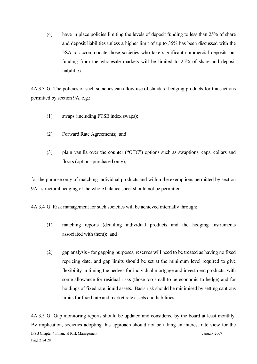(4) have in place policies limiting the levels of deposit funding to less than 25% of share and deposit liabilities unless a higher limit of up to 35% has been discussed with the FSA to accommodate those societies who take significant commercial deposits but funding from the wholesale markets will be limited to 25% of share and deposit liabilities.

4A.3.3 G The policies of such societies can allow use of standard hedging products for transactions permitted by section 9A, e.g.:

- (1) swaps (including FTSE index swaps);
- (2) Forward Rate Agreements; and
- (3) plain vanilla over the counter ("OTC") options such as swaptions, caps, collars and floors (options purchased only);

for the purpose only of matching individual products and within the exemptions permitted by section 9A - structural hedging of the whole balance sheet should not be permitted.

4A.3.4 G Risk management for such societies will be achieved internally through:

- (1) matching reports (detailing individual products and the hedging instruments associated with them); and
- (2) gap analysis for gapping purposes, reserves will need to be treated as having no fixed repricing date, and gap limits should be set at the minimum level required to give flexibility in timing the hedges for individual mortgage and investment products, with some allowance for residual risks (those too small to be economic to hedge) and for holdings of fixed rate liquid assets. Basis risk should be minimised by setting cautious limits for fixed rate and market rate assets and liabilities.

IPSB Chapter 4 Financial Risk Management January 2007 Page 21of 28 4A.3.5 G Gap monitoring reports should be updated and considered by the board at least monthly. By implication, societies adopting this approach should not be taking an interest rate view for the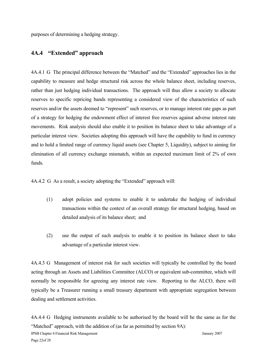purposes of determining a hedging strategy.

### **4A.4 "Extended" approach**

4A.4.1 G The principal difference between the "Matched" and the "Extended" approaches lies in the capability to measure and hedge structural risk across the whole balance sheet, including reserves, rather than just hedging individual transactions. The approach will thus allow a society to allocate reserves to specific repricing bands representing a considered view of the characteristics of such reserves and/or the assets deemed to "represent" such reserves, or to manage interest rate gaps as part of a strategy for hedging the endowment effect of interest free reserves against adverse interest rate movements. Risk analysis should also enable it to position its balance sheet to take advantage of a particular interest view. Societies adopting this approach will have the capability to fund in currency and to hold a limited range of currency liquid assets (see Chapter 5, Liquidity), subject to aiming for elimination of all currency exchange mismatch, within an expected maximum limit of 2% of own funds.

4A.4.2 G As a result, a society adopting the "Extended" approach will:

- (1) adopt policies and systems to enable it to undertake the hedging of individual transactions within the context of an overall strategy for structural hedging, based on detailed analysis of its balance sheet; and
- (2) use the output of such analysis to enable it to position its balance sheet to take advantage of a particular interest view.

4A.4.3 G Management of interest risk for such societies will typically be controlled by the board acting through an Assets and Liabilities Committee (ALCO) or equivalent sub-committee, which will normally be responsible for agreeing any interest rate view. Reporting to the ALCO, there will typically be a Treasurer running a small treasury department with appropriate segregation between dealing and settlement activities.

IPSB Chapter 4 Financial Risk Management January 2007 Page 22of 28 4A.4.4 G Hedging instruments available to be authorised by the board will be the same as for the "Matched" approach, with the addition of (as far as permitted by section 9A):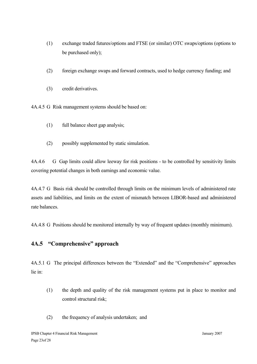- (1) exchange traded futures/options and FTSE (or similar) OTC swaps/options (options to be purchased only);
- (2) foreign exchange swaps and forward contracts, used to hedge currency funding; and
- (3) credit derivatives.

4A.4.5 G Risk management systems should be based on:

- (1) full balance sheet gap analysis;
- (2) possibly supplemented by static simulation.

4A.4.6 G Gap limits could allow leeway for risk positions - to be controlled by sensitivity limits covering potential changes in both earnings and economic value.

4A.4.7 G Basis risk should be controlled through limits on the minimum levels of administered rate assets and liabilities, and limits on the extent of mismatch between LIBOR-based and administered rate balances.

4A.4.8 G Positions should be monitored internally by way of frequent updates (monthly minimum).

### **4A.5 "Comprehensive" approach**

4A.5.1 G The principal differences between the "Extended" and the "Comprehensive" approaches lie in:

- (1) the depth and quality of the risk management systems put in place to monitor and control structural risk;
- (2) the frequency of analysis undertaken; and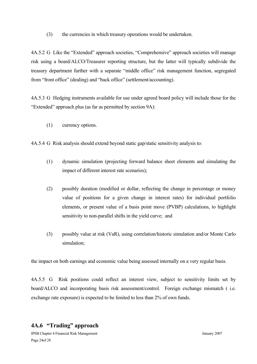(3) the currencies in which treasury operations would be undertaken.

4A.5.2 G Like the "Extended" approach societies, "Comprehensive" approach societies will manage risk using a board/ALCO/Treasurer reporting structure, but the latter will typically subdivide the treasury department further with a separate "middle office" risk management function, segregated from "front office" (dealing) and "back office" (settlement/accounting).

4A.5.3 G Hedging instruments available for use under agreed board policy will include those for the "Extended" approach plus (as far as permitted by section 9A):

(1) currency options.

4A.5.4 G Risk analysis should extend beyond static gap/static sensitivity analysis to:

- (1) dynamic simulation (projecting forward balance sheet elements and simulating the impact of different interest rate scenarios);
- (2) possibly duration (modified or dollar, reflecting the change in percentage or money value of positions for a given change in interest rates) for individual portfolio elements, or present value of a basis point move (PVBP) calculations, to highlight sensitivity to non-parallel shifts in the yield curve; and
- (3) possibly value at risk (VaR), using correlation/historic simulation and/or Monte Carlo simulation;

the impact on both earnings and economic value being assessed internally on a very regular basis.

4A.5.5 G Risk positions could reflect an interest view, subject to sensitivity limits set by board/ALCO and incorporating basis risk assessment/control. Foreign exchange mismatch ( i.e. exchange rate exposure) is expected to be limited to less than 2% of own funds.

# **4A.6 "Trading" approach**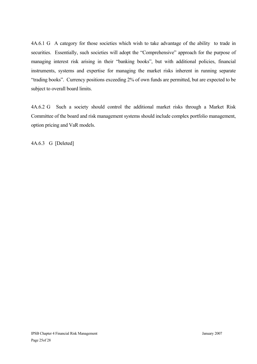4A.6.1 G A category for those societies which wish to take advantage of the ability to trade in securities. Essentially, such societies will adopt the "Comprehensive" approach for the purpose of managing interest risk arising in their "banking books", but with additional policies, financial instruments, systems and expertise for managing the market risks inherent in running separate "trading books". Currency positions exceeding 2% of own funds are permitted, but are expected to be subject to overall board limits.

4A.6.2 G Such a society should control the additional market risks through a Market Risk Committee of the board and risk management systems should include complex portfolio management, option pricing and VaR models.

4A.6.3 G [Deleted]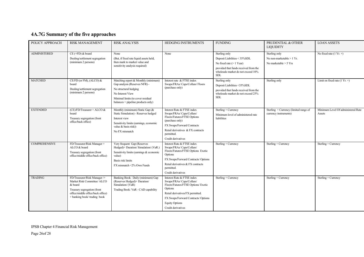# **4A.7G Summary of the five approaches**

| POLICY APPROACH      | <b>RISK MANAGEMENT</b>                                                                                                                                                    | <b>RISK ANALYSIS</b>                                                                                                                                                                           | <b>HEDGING INSTRUMENTS</b>                                                                                                                                                                                                         | <b>FUNDING</b>                                                                                                                                                           | PRUDENTIAL & OTHER<br><b>LIQUIDITY</b>                                  | <b>LOAN ASSETS</b>                           |
|----------------------|---------------------------------------------------------------------------------------------------------------------------------------------------------------------------|------------------------------------------------------------------------------------------------------------------------------------------------------------------------------------------------|------------------------------------------------------------------------------------------------------------------------------------------------------------------------------------------------------------------------------------|--------------------------------------------------------------------------------------------------------------------------------------------------------------------------|-------------------------------------------------------------------------|----------------------------------------------|
| <b>ADMINISTERED</b>  | $CE$ (+FD) $&$ board<br>Dealing/settlement segregation<br>(minimum 2 persons)                                                                                             | None<br>(But, if fixed rate liquid assets held,<br>then mark to market value and<br>sensitivity analysis required)                                                                             | None                                                                                                                                                                                                                               | Sterling only<br>Deposit Liabilities < 35%SDL<br>No fixed rate $(> 1$ Year)<br>provided that funds received from the<br>wholesale market do not exceed 10%<br><b>SDL</b> | Sterling only<br>No non-marketable $> 1$ Yr.<br>No marketable $> 5$ Yrs | No fixed rate $(1 Yr. +)$                    |
| <b>MATCHED</b>       | CE/FD (or FM), (ALCO) &<br>board<br>Dealing/settlement segregation<br>(minimum 2 persons)                                                                                 | Matching report & Monthly (minimum)<br>Gap analysis (Reserves NFR) -<br>No structural hedging<br>No Interest View<br>Minimal limits (to cover residual<br>$balances + pipeline products only)$ | Interest rate & FTSE index<br>Swaps/FRAs/ Caps/Collars/ Floors<br>(purchase only)                                                                                                                                                  | Sterling only<br>Deposit Liabilities <35%SDL<br>provided that funds received from the<br>wholesale market do not exceed 25%<br><b>SDL</b>                                | Sterling only                                                           | Limit on fixed rate $(1 Yr. +)$              |
| <b>EXTENDED</b>      | (CE)/FD/Treasurer + ALCO &<br>board<br>Treasury segregation (front<br>office/back office)                                                                                 | Monthly (minimum) Static Gap (&<br>Static Simulation) - Reserves hedged<br>Interest view<br>Sensitivity limits (earnings, economic<br>value & basis risk))<br>No FX mismatch                   | Interest Rate & FTSE index<br>Swaps/FRAs/Caps/Collars/<br>Floors/Futures/FTSE Options<br>(purchase only)<br>FX Swaps/Forward Contracts<br>Retail derivatives & FX contracts<br>permitted.<br>Credit derivatives                    | Sterling + Currency<br>Minimum level of administered rate<br>liabilities                                                                                                 | Sterling + Currency (limited range of<br>currency instruments)          | Minimum Level Of administered Rate<br>Assets |
| <b>COMPREHENSIVE</b> | FD/Treasurer/Risk Manager +<br>ALCO & board<br>Treasury segregation (front<br>office/middle office/back office)                                                           | Very frequent Gap (Reserves<br>Hedged)+ Duration/ Simulation/ (VaR.)<br>Sensitivity limits (earnings & economic<br>value)<br>Basis risk limits<br>FX mismatch <2% Own Funds                    | Interest Rate & FTSE index<br>Swaps/FRAs/Caps/Collars/<br>Floors/Futures/FTSE Options Exotic<br>Options<br>FX Swaps/Forward Contracts/ Options<br>Retail derivatives & FX contracts<br>permitted.<br>Credit derivatives            | Sterling + Currency                                                                                                                                                      | Sterling + Currency                                                     | Sterling + Currency                          |
| <b>TRADING</b>       | FD/Treasurer/Risk Manager /+<br>Market Risk Committee/ ALCO<br>& board<br>Treasury segregation (front<br>office/middle office/back office)<br>+ banking book/trading book | Banking Book: Daily (minimum) Gap<br>(Reserves Hedged)+ Duration/<br>Simulation/(VaR)<br>Trading Book: VaR - CAD capability                                                                    | Interest Rate & FTSE index<br>Swaps/FRAs/Caps/Collars/<br>Floors/Futures/FTSE Options/ Exotic<br>Options<br>Retail derivatives/FX permitted.<br>FX Swaps/Forward Contracts/ Options<br><b>Equity Options</b><br>Credit derivatives | Sterling + Currency                                                                                                                                                      | Sterling + Currency                                                     | Sterling + Currency                          |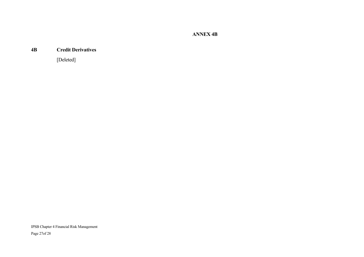**ANNEX 4B**

#### **4B Credit Derivatives**

[Deleted]

IPSB Chapter 4 Financial Risk Management Page 27of 28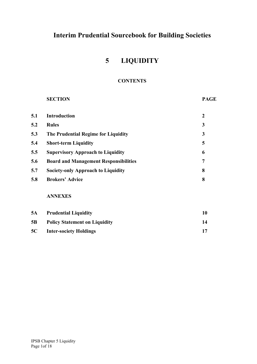# **5 LIQUIDITY**

### **CONTENTS**

# **SECTION PAGE**

| <b>Introduction</b>                          | $\boldsymbol{2}$ |
|----------------------------------------------|------------------|
| <b>Rules</b>                                 | 3                |
| The Prudential Regime for Liquidity          | 3                |
| <b>Short-term Liquidity</b>                  | 5                |
| <b>Supervisory Approach to Liquidity</b>     | 6                |
| <b>Board and Management Responsibilities</b> | $\overline{7}$   |
| <b>Society-only Approach to Liquidity</b>    | 8                |
| <b>Brokers' Advice</b>                       | 8                |
| <b>ANNEXES</b>                               |                  |
|                                              |                  |

| 5A        | <b>Prudential Liquidity</b>          |    |
|-----------|--------------------------------------|----|
| 5B        | <b>Policy Statement on Liquidity</b> | 14 |
| <b>5C</b> | <b>Inter-society Holdings</b>        |    |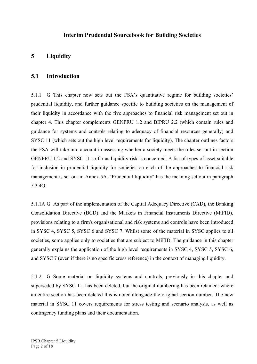# **5 Liquidity**

### **5.1 Introduction**

5.1.1 G This chapter now sets out the FSA's quantitative regime for building societies' prudential liquidity, and further guidance specific to building societies on the management of their liquidity in accordance with the five approaches to financial risk management set out in chapter 4. This chapter complements GENPRU 1.2 and BIPRU 2.2 (which contain rules and guidance for systems and controls relating to adequacy of financial resources generally) and SYSC 11 (which sets out the high level requirements for liquidity). The chapter outlines factors the FSA will take into account in assessing whether a society meets the rules set out in section GENPRU 1.2 and SYSC 11 so far as liquidity risk is concerned. A list of types of asset suitable for inclusion in prudential liquidity for societies on each of the approaches to financial risk management is set out in Annex 5A. "Prudential liquidity" has the meaning set out in paragraph 5.3.4G.

5.1.1A G As part of the implementation of the Capital Adequacy Directive (CAD), the Banking Consolidation Directive (BCD) and the Markets in Financial Instruments Directive (MiFID), provisions relating to a firm's organisational and risk systems and controls have been introduced in SYSC 4, SYSC 5, SYSC 6 and SYSC 7. Whilst some of the material in SYSC applies to all societies, some applies only to societies that are subject to MiFID. The guidance in this chapter generally explains the application of the high level requirements in SYSC 4, SYSC 5, SYSC 6, and SYSC 7 (even if there is no specific cross reference) in the context of managing liquidity.

5.1.2 G Some material on liquidity systems and controls, previously in this chapter and superseded by SYSC 11, has been deleted, but the original numbering has been retained: where an entire section has been deleted this is noted alongside the original section number. The new material in SYSC 11 covers requirements for stress testing and scenario analysis, as well as contingency funding plans and their documentation.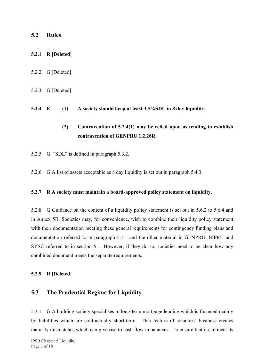### **5.2 Rules**

### **5.2.1 R [Deleted]**

- 5.2.2 G [Deleted]
- 5.2.3 G [Deleted]
- **5.2.4 E (1) A society should keep at least 3.5%SDL in 8 day liquidity.** 
	- **(2) Contravention of 5.2.4(1) may be relied upon as tending to establish contravention of GENPRU 1.2.26R.**
- 5.2.5 G "SDL" is defined in paragraph 5.3.2.
- 5.2.6 G A list of assets acceptable as 8 day liquidity is set out in paragraph 5.4.3.

#### **5.2.7 R A society must maintain a board-approved policy statement on liquidity.**

5.2.8 G Guidance on the content of a liquidity policy statement is set out in 5.6.2 to 5.6.4 and in Annex 5B. Societies may, for convenience, wish to combine their liquidity policy statement with their documentation meeting these general requirements for contingency funding plans and documentation referred to in paragraph 5.1.1 and the other material in GENPRU, BIPRU and SYSC referred to in section 5.1. However, if they do so, societies need to be clear how any combined document meets the separate requirements.

#### **5.2.9 R [Deleted]**

### **5.3 The Prudential Regime for Liquidity**

5.3.1 G A building society specialises in long-term mortgage lending which is financed mainly by liabilities which are contractually short-term. This feature of societies' business creates maturity mismatches which can give rise to cash flow imbalances. To ensure that it can meet its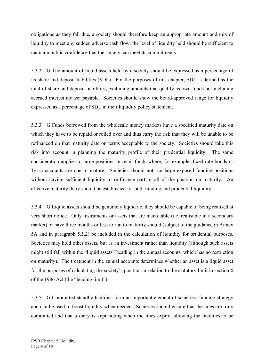obligations as they fall due, a society should therefore keep an appropriate amount and mix of liquidity to meet any sudden adverse cash flow; the level of liquidity held should be sufficient to maintain public confidence that the society can meet its commitments.

5.3.2 G The amount of liquid assets held by a society should be expressed as a percentage of its share and deposit liabilities (SDL). For the purposes of this chapter, SDL is defined as the total of share and deposit liabilities, excluding amounts that qualify as own funds but including accrued interest not yet payable. Societies should show the board-approved range for liquidity expressed as a percentage of SDL in their liquidity policy statement.

5.3.3 G Funds borrowed from the wholesale money markets have a specified maturity date on which they have to be repaid or rolled over and thus carry the risk that they will be unable to be refinanced on that maturity date on terms acceptable to the society. Societies should take this risk into account in planning the maturity profile of their prudential liquidity. The same consideration applies to large positions in retail funds where, for example, fixed-rate bonds or Tessa accounts are due to mature. Societies should not run large exposed funding positions without having sufficient liquidity to re-finance part or all of the position on maturity. An effective maturity diary should be established for both funding and prudential liquidity.

5.3.4 G Liquid assets should be genuinely liquid i.e. they should be capable of being realised at very short notice. Only instruments or assets that are marketable (i.e. realisable in a secondary market) or have three months or less to run to maturity should (subject to the guidance in Annex 5A and in paragraph 5.5.2) be included in the calculation of liquidity for prudential purposes. Societies may hold other assets, but as an investment rather than liquidity (although such assets might still fall within the "liquid assets" heading in the annual accounts, which has no restriction on maturity). The treatment in the annual accounts determines whether an asset is a liquid asset for the purposes of calculating the society's position in relation to the statutory limit in section 6 of the 1986 Act (the "lending limit").

5.3.5 G Committed standby facilities form an important element of societies' funding strategy and can be used to boost liquidity when needed. Societies should ensure that the lines are truly committed and that a diary is kept noting when the lines expire, allowing the facilities to be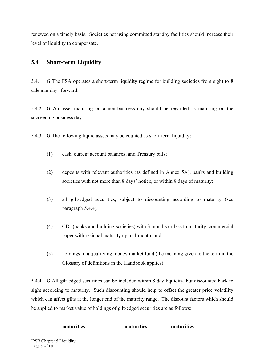renewed on a timely basis. Societies not using committed standby facilities should increase their level of liquidity to compensate.

# **5.4 Short-term Liquidity**

5.4.1 G The FSA operates a short-term liquidity regime for building societies from sight to 8 calendar days forward.

5.4.2 G An asset maturing on a non-business day should be regarded as maturing on the succeeding business day.

5.4.3 G The following liquid assets may be counted as short-term liquidity:

- (1) cash, current account balances, and Treasury bills;
- (2) deposits with relevant authorities (as defined in Annex 5A), banks and building societies with not more than 8 days' notice, or within 8 days of maturity;
- (3) all gilt-edged securities, subject to discounting according to maturity (see paragraph 5.4.4);
- (4) CDs (banks and building societies) with 3 months or less to maturity, commercial paper with residual maturity up to 1 month; and
- (5) holdings in a qualifying money market fund (the meaning given to the term in the Glossary of definitions in the Handbook applies).

5.4.4 G All gilt-edged securities can be included within 8 day liquidity, but discounted back to sight according to maturity. Such discounting should help to offset the greater price volatility which can affect gilts at the longer end of the maturity range.The discount factors which should be applied to market value of holdings of gilt-edged securities are as follows:

**maturities maturities maturities**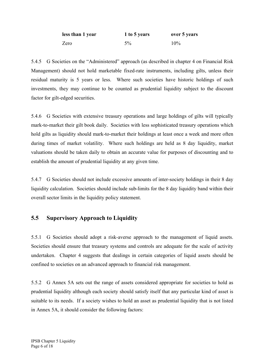| less than 1 year | 1 to 5 years | over 5 years |
|------------------|--------------|--------------|
| Zero             | 5%           | 10%          |

5.4.5 G Societies on the "Administered" approach (as described in chapter 4 on Financial Risk Management) should not hold marketable fixed-rate instruments, including gilts, unless their residual maturity is 5 years or less. Where such societies have historic holdings of such investments, they may continue to be counted as prudential liquidity subject to the discount factor for gilt-edged securities.

5.4.6 G Societies with extensive treasury operations and large holdings of gilts will typically mark-to-market their gilt book daily. Societies with less sophisticated treasury operations which hold gilts as liquidity should mark-to-market their holdings at least once a week and more often during times of market volatility. Where such holdings are held as 8 day liquidity, market valuations should be taken daily to obtain an accurate value for purposes of discounting and to establish the amount of prudential liquidity at any given time.

5.4.7 G Societies should not include excessive amounts of inter-society holdings in their 8 day liquidity calculation. Societies should include sub-limits for the 8 day liquidity band within their overall sector limits in the liquidity policy statement.

# **5.5 Supervisory Approach to Liquidity**

5.5.1 G Societies should adopt a risk-averse approach to the management of liquid assets. Societies should ensure that treasury systems and controls are adequate for the scale of activity undertaken. Chapter 4 suggests that dealings in certain categories of liquid assets should be confined to societies on an advanced approach to financial risk management.

5.5.2 G Annex 5A sets out the range of assets considered appropriate for societies to hold as prudential liquidity although each society should satisfy itself that any particular kind of asset is suitable to its needs. If a society wishes to hold an asset as prudential liquidity that is not listed in Annex 5A, it should consider the following factors: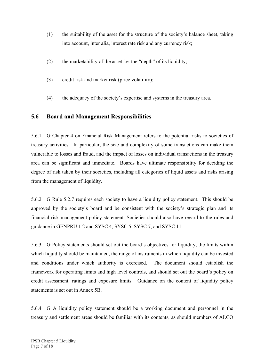- (1) the suitability of the asset for the structure of the society's balance sheet, taking into account, inter alia, interest rate risk and any currency risk;
- (2) the marketability of the asset i.e. the "depth" of its liquidity;
- (3) credit risk and market risk (price volatility);
- (4) the adequacy of the society's expertise and systems in the treasury area.

### **5.6 Board and Management Responsibilities**

5.6.1 G Chapter 4 on Financial Risk Management refers to the potential risks to societies of treasury activities. In particular, the size and complexity of some transactions can make them vulnerable to losses and fraud, and the impact of losses on individual transactions in the treasury area can be significant and immediate. Boards have ultimate responsibility for deciding the degree of risk taken by their societies, including all categories of liquid assets and risks arising from the management of liquidity.

5.6.2 G Rule 5.2.7 requires each society to have a liquidity policy statement. This should be approved by the society's board and be consistent with the society's strategic plan and its financial risk management policy statement. Societies should also have regard to the rules and guidance in GENPRU 1.2 and SYSC 4, SYSC 5, SYSC 7, and SYSC 11.

5.6.3 G Policy statements should set out the board's objectives for liquidity, the limits within which liquidity should be maintained, the range of instruments in which liquidity can be invested and conditions under which authority is exercised. The document should establish the framework for operating limits and high level controls, and should set out the board's policy on credit assessment, ratings and exposure limits. Guidance on the content of liquidity policy statements is set out in Annex 5B.

5.6.4 G A liquidity policy statement should be a working document and personnel in the treasury and settlement areas should be familiar with its contents, as should members of ALCO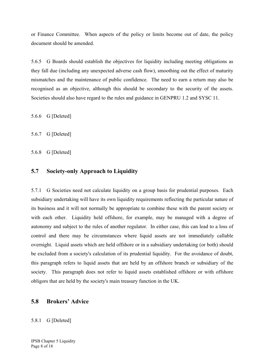or Finance Committee. When aspects of the policy or limits become out of date, the policy document should be amended.

5.6.5 G Boards should establish the objectives for liquidity including meeting obligations as they fall due (including any unexpected adverse cash flow), smoothing out the effect of maturity mismatches and the maintenance of public confidence. The need to earn a return may also be recognised as an objective, although this should be secondary to the security of the assets. Societies should also have regard to the rules and guidance in GENPRU 1.2 and SYSC 11.

5.6.6 G [Deleted]

5.6.7 G [Deleted]

5.6.8 G [Deleted]

#### **5.7 Society-only Approach to Liquidity**

5.7.1 G Societies need not calculate liquidity on a group basis for prudential purposes. Each subsidiary undertaking will have its own liquidity requirements reflecting the particular nature of its business and it will not normally be appropriate to combine these with the parent society or with each other. Liquidity held offshore, for example, may be managed with a degree of autonomy and subject to the rules of another regulator. In either case, this can lead to a loss of control and there may be circumstances where liquid assets are not immediately callable overnight. Liquid assets which are held offshore or in a subsidiary undertaking (or both) should be excluded from a society's calculation of its prudential liquidity. For the avoidance of doubt, this paragraph refers to liquid assets that are held by an offshore branch or subsidiary of the society. This paragraph does not refer to liquid assets established offshore or with offshore obligors that are held by the society's main treasury function in the UK.

#### **5.8 Brokers' Advice**

#### 5.8.1 G [Deleted]

IPSB Chapter 5 Liquidity Page 8 of 18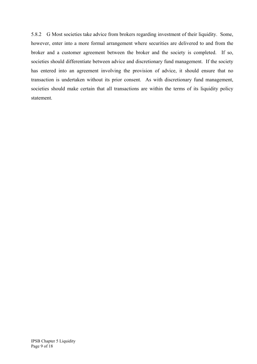5.8.2 G Most societies take advice from brokers regarding investment of their liquidity. Some, however, enter into a more formal arrangement where securities are delivered to and from the broker and a customer agreement between the broker and the society is completed. If so, societies should differentiate between advice and discretionary fund management. If the society has entered into an agreement involving the provision of advice, it should ensure that no transaction is undertaken without its prior consent. As with discretionary fund management, societies should make certain that all transactions are within the terms of its liquidity policy statement.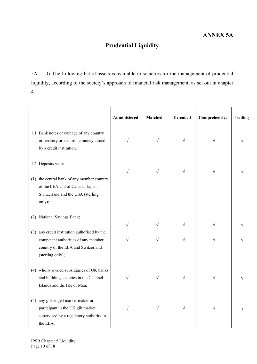# **Prudential Liquidity**

5A.1 G The following list of assets is available to societies for the management of prudential liquidity, according to the society's approach to financial risk management, as set out in chapter 4.

|                                                                       | Administered | <b>Matched</b> | <b>Extended</b> | Comprehensive | <b>Trading</b> |
|-----------------------------------------------------------------------|--------------|----------------|-----------------|---------------|----------------|
| 1.1 Bank notes or coinage of any country                              |              |                |                 |               |                |
| or territory or electronic money issued                               | V            | V              | V               |               |                |
| by a credit institution.                                              |              |                |                 |               |                |
|                                                                       |              |                |                 |               |                |
| 1.2 Deposits with:                                                    |              |                |                 |               |                |
|                                                                       | $\sqrt{}$    | $\sqrt{}$      | $\sqrt{}$       | $\sqrt{}$     |                |
| (1) the central bank of any member country                            |              |                |                 |               |                |
| of the EEA and of Canada, Japan,<br>Switzerland and the USA (sterling |              |                |                 |               |                |
| only);                                                                |              |                |                 |               |                |
|                                                                       |              |                |                 |               |                |
| (2) National Savings Bank;                                            |              |                |                 |               |                |
|                                                                       | V            | V              |                 | $\sqrt{}$     |                |
| any credit institution authorised by the<br>(3)                       |              |                |                 |               |                |
| competent authorities of any member                                   | V            | $\sqrt{}$      |                 | $\sqrt{}$     |                |
| country of the EEA and Switzerland                                    |              |                |                 |               |                |
| (sterling only);                                                      |              |                |                 |               |                |
|                                                                       |              |                |                 |               |                |
| (4) wholly owned subsidiaries of UK banks                             |              |                |                 |               |                |
| and building societies in the Channel                                 | $\sqrt{}$    | $\sqrt{}$      |                 | V             |                |
| Islands and the Isle of Man;                                          |              |                |                 |               |                |
|                                                                       |              |                |                 |               |                |
| any gilt-edged market maker or<br>(5)                                 |              |                |                 |               |                |
| participant in the UK gilt market                                     | $\sqrt{}$    | $\sqrt{}$      | V               | $\sqrt{}$     |                |
| supervised by a regulatory authority in                               |              |                |                 |               |                |
| the EEA.                                                              |              |                |                 |               |                |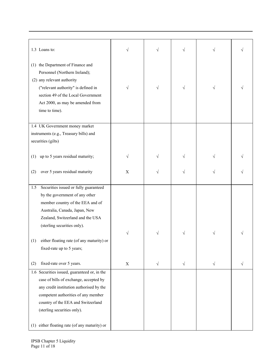| 1.3 Loans to:                                               | V           |           | $\sqrt{}$ |           |  |
|-------------------------------------------------------------|-------------|-----------|-----------|-----------|--|
| (1) the Department of Finance and                           |             |           |           |           |  |
| Personnel (Northern Ireland);<br>(2) any relevant authority |             |           |           |           |  |
| ("relevant authority" is defined in                         | V           | V         | $\sqrt{}$ | $\sqrt{}$ |  |
| section 49 of the Local Government                          |             |           |           |           |  |
| Act 2000, as may be amended from                            |             |           |           |           |  |
| time to time).                                              |             |           |           |           |  |
|                                                             |             |           |           |           |  |
| 1.4 UK Government money market                              |             |           |           |           |  |
| instruments (e.g., Treasury bills) and                      |             |           |           |           |  |
| securities (gilts)                                          |             |           |           |           |  |
|                                                             |             |           |           |           |  |
| up to 5 years residual maturity;<br>(1)                     |             |           |           |           |  |
| over 5 years residual maturity<br>(2)                       | $\mathbf X$ |           | V         |           |  |
|                                                             |             |           |           |           |  |
| Securities issued or fully guaranteed<br>1.5                |             |           |           |           |  |
| by the government of any other                              |             |           |           |           |  |
| member country of the EEA and of                            |             |           |           |           |  |
| Australia, Canada, Japan, New                               |             |           |           |           |  |
| Zealand, Switzerland and the USA                            |             |           |           |           |  |
| (sterling securities only).                                 |             |           |           |           |  |
|                                                             |             |           | V         |           |  |
| either floating rate (of any maturity) or<br>(1)            |             |           |           |           |  |
| fixed-rate up to 5 years;                                   |             |           |           |           |  |
| fixed-rate over 5 years.<br>(2)                             | $\mathbf X$ | $\sqrt{}$ | $\sqrt{}$ | $\sqrt{}$ |  |
| 1.6 Securities issued, guaranteed or, in the                |             |           |           |           |  |
| case of bills of exchange, accepted by                      |             |           |           |           |  |
| any credit institution authorised by the                    |             |           |           |           |  |
| competent authorities of any member                         |             |           |           |           |  |
| country of the EEA and Switzerland                          |             |           |           |           |  |
| (sterling securities only).                                 |             |           |           |           |  |
|                                                             |             |           |           |           |  |
| (1) either floating rate (of any maturity) or               |             |           |           |           |  |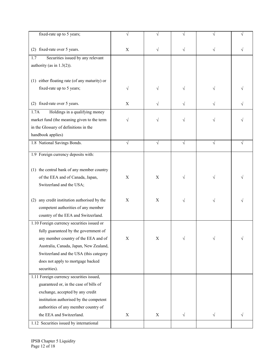| fixed-rate up to 5 years;                       |             |             |           |           |  |
|-------------------------------------------------|-------------|-------------|-----------|-----------|--|
| (2) fixed-rate over 5 years.                    | X           | V           | V         |           |  |
| Securities issued by any relevant<br>1.7        |             |             |           |           |  |
| authority (as in $1.3(2)$ ).                    |             |             |           |           |  |
|                                                 |             |             |           |           |  |
| (1) either floating rate (of any maturity) or   |             |             |           |           |  |
| fixed-rate up to 5 years;                       |             |             |           |           |  |
|                                                 | V           |             | V         |           |  |
| (2) fixed-rate over 5 years.                    | X           |             | V         |           |  |
| Holdings in a qualifying money<br>1.7A          |             |             |           |           |  |
|                                                 |             |             |           |           |  |
| market fund (the meaning given to the term      | V           | V           | V         | V         |  |
| in the Glossary of definitions in the           |             |             |           |           |  |
| handbook applies)                               |             |             |           |           |  |
| 1.8 National Savings Bonds.                     | V           |             | $\sqrt{}$ | $\sqrt{}$ |  |
| 1.9 Foreign currency deposits with:             |             |             |           |           |  |
|                                                 |             |             |           |           |  |
| (1) the central bank of any member country      |             |             |           |           |  |
| of the EEA and of Canada, Japan,                | X           | X           |           |           |  |
| Switzerland and the USA;                        |             |             |           |           |  |
|                                                 |             |             |           |           |  |
| any credit institution authorised by the<br>(2) | X           | X           |           |           |  |
| competent authorities of any member             |             |             |           |           |  |
| country of the EEA and Switzerland.             |             |             |           |           |  |
| 1.10 Foreign currency securities issued or      |             |             |           |           |  |
| fully guaranteed by the government of           |             |             |           |           |  |
| any member country of the EEA and of            | X           | X           | V         |           |  |
| Australia, Canada, Japan, New Zealand,          |             |             |           |           |  |
| Switzerland and the USA (this category          |             |             |           |           |  |
| does not apply to mortgage backed               |             |             |           |           |  |
| securities).                                    |             |             |           |           |  |
| 1.11 Foreign currency securities issued,        |             |             |           |           |  |
| guaranteed or, in the case of bills of          |             |             |           |           |  |
| exchange, accepted by any credit                |             |             |           |           |  |
| institution authorised by the competent         |             |             |           |           |  |
| authorities of any member country of            |             |             |           |           |  |
| the EEA and Switzerland.                        | $\mathbf X$ | $\mathbf X$ | $\sqrt{}$ | $\sqrt{}$ |  |
|                                                 |             |             |           |           |  |
| 1.12 Securities issued by international         |             |             |           |           |  |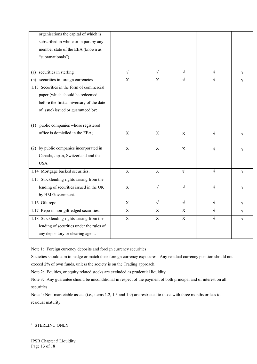| organisations the capital of which is     |                           |             |                           |           |           |
|-------------------------------------------|---------------------------|-------------|---------------------------|-----------|-----------|
| subscribed in whole or in part by any     |                           |             |                           |           |           |
| member state of the EEA (known as         |                           |             |                           |           |           |
| "supranationals").                        |                           |             |                           |           |           |
|                                           |                           |             |                           |           |           |
| (a) securities in sterling                | $\sqrt{}$                 | $\sqrt{}$   |                           |           |           |
| (b) securities in foreign currencies      | $\boldsymbol{\mathrm{X}}$ | $\mathbf X$ |                           |           |           |
| 1.13 Securities in the form of commercial |                           |             |                           |           |           |
| paper (which should be redeemed           |                           |             |                           |           |           |
| before the first anniversary of the date  |                           |             |                           |           |           |
| of issue) issued or guaranteed by:        |                           |             |                           |           |           |
|                                           |                           |             |                           |           |           |
| (1) public companies whose registered     |                           |             |                           |           |           |
| office is domiciled in the EEA;           | $\mathbf X$               | $\mathbf X$ | X                         |           |           |
|                                           |                           |             |                           |           |           |
| (2) by public companies incorporated in   | $\mathbf X$               | $\mathbf X$ | $\boldsymbol{\mathrm{X}}$ |           |           |
| Canada, Japan, Switzerland and the        |                           |             |                           |           |           |
| <b>USA</b>                                |                           |             |                           |           |           |
| 1.14 Mortgage backed securities.          | $\mathbf X$               | X           | $\sqrt{1}$                | $\sqrt{}$ | $\sqrt{}$ |
| 1.15 Stocklending rights arising from the |                           |             |                           |           |           |
| lending of securities issued in the UK    | $\mathbf X$               | V           | V                         |           |           |
| by HM Government.                         |                           |             |                           |           |           |
| 1.16 Gilt repo                            | $\overline{X}$            | $\sqrt{ }$  | $\sqrt{}$                 | $\sqrt{}$ | $\sqrt{}$ |
| 1.17 Repo in non-gilt-edged securities.   | $\mathbf X$               | $\mathbf X$ | $\mathbf X$               | $\sqrt{}$ | $\sqrt{}$ |
| 1.18 Stocklending rights arising from the | $\mathbf X$               | $\mathbf X$ | $\mathbf X$               | V         | $\sqrt{}$ |
| lending of securities under the rules of  |                           |             |                           |           |           |
| any depository or clearing agent.         |                           |             |                           |           |           |

Note 1: Foreign currency deposits and foreign currency securities:

Societies should aim to hedge or match their foreign currency exposures. Any residual currency position should not

exceed 2% of own funds, unless the society is on the Trading approach.

Note 2: Equities, or equity related stocks are excluded as prudential liquidity.

Note 3: Any guarantee should be unconditional in respect of the payment of both principal and of interest on all securities.

Note 4: Non-marketable assets (i.e., items 1.2, 1.3 and 1.9) are restricted to those with three months or less to residual maturity.

<sup>&</sup>lt;sup>1</sup> STERLING ONLY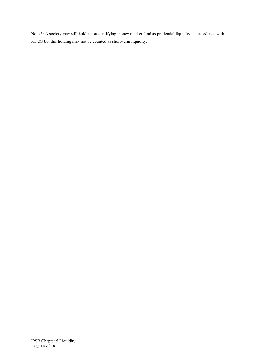Note 5: A society may still hold a non-qualifying money market fund as prudential liquidity in accordance with 5.5.2G but this holding may not be counted as short-term liquidity.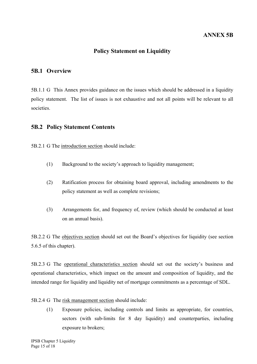### **Policy Statement on Liquidity**

#### **5B.1 Overview**

5B.1.1 G This Annex provides guidance on the issues which should be addressed in a liquidity policy statement.The list of issues is not exhaustive and not all points will be relevant to all societies.

#### **5B.2 Policy Statement Contents**

5B.2.1 G The introduction section should include:

- (1) Background to the society's approach to liquidity management;
- (2) Ratification process for obtaining board approval, including amendments to the policy statement as well as complete revisions;
- (3) Arrangements for, and frequency of, review (which should be conducted at least on an annual basis).

5B.2.2 G The objectives section should set out the Board's objectives for liquidity (see section 5.6.5 of this chapter).

5B.2.3 G The operational characteristics section should set out the society's business and operational characteristics, which impact on the amount and composition of liquidity, and the intended range for liquidity and liquidity net of mortgage commitments as a percentage of SDL.

- 5B.2.4 G The risk management section should include:
	- (1) Exposure policies, including controls and limits as appropriate, for countries, sectors (with sub-limits for 8 day liquidity) and counterparties, including exposure to brokers;

IPSB Chapter 5 Liquidity Page 15 of 18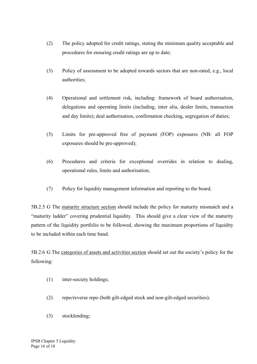- (2) The policy adopted for credit ratings, stating the minimum quality acceptable and procedures for ensuring credit ratings are up to date;
- (3) Policy of assessment to be adopted towards sectors that are non-rated, e.g., local authorities;
- (4) Operational and settlement risk, including: framework of board authorisation, delegations and operating limits (including, inter alia, dealer limits, transaction and day limits); deal authorisation, confirmation checking, segregation of duties;
- (5) Limits for pre-approved free of payment (FOP) exposures (NB: all FOP exposures should be pre-approved);
- (6) Procedures and criteria for exceptional overrides in relation to dealing, operational rules, limits and authorisation;
- (7) Policy for liquidity management information and reporting to the board.

5B.2.5 G The maturity structure section should include the policy for maturity mismatch and a "maturity ladder" covering prudential liquidity*.* This should give a clear view of the maturity pattern of the liquidity portfolio to be followed, showing the maximum proportions of liquidity to be included within each time band.

5B.2.6 G The categories of assets and activities section should set out the society's policy for the following:

- (1) inter-society holdings;
- (2) repo/reverse repo (both gilt-edged stock and non-gilt-edged securities);
- (3) stocklending;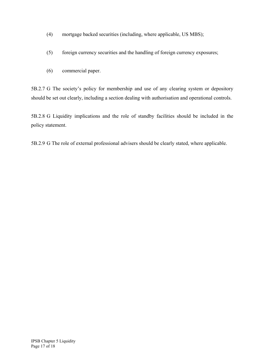- (4) mortgage backed securities (including, where applicable, US MBS);
- (5) foreign currency securities and the handling of foreign currency exposures;
- (6) commercial paper.

5B.2.7 G The society's policy for membership and use of any clearing system or depository should be set out clearly, including a section dealing with authorisation and operational controls.

5B.2.8 G Liquidity implications and the role of standby facilities should be included in the policy statement.

5B.2.9 G The role of external professional advisers should be clearly stated, where applicable.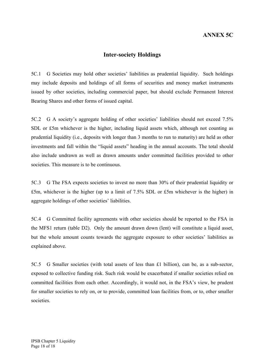# **ANNEX 5C**

#### **Inter-society Holdings**

5C.1 G Societies may hold other societies' liabilities as prudential liquidity. Such holdings may include deposits and holdings of all forms of securities and money market instruments issued by other societies, including commercial paper, but should exclude Permanent Interest Bearing Shares and other forms of issued capital.

5C.2 G A society's aggregate holding of other societies' liabilities should not exceed 7.5% SDL or £5m whichever is the higher, including liquid assets which, although not counting as prudential liquidity (i.e., deposits with longer than 3 months to run to maturity) are held as other investments and fall within the "liquid assets" heading in the annual accounts. The total should also include undrawn as well as drawn amounts under committed facilities provided to other societies. This measure is to be continuous.

5C.3 G The FSA expects societies to invest no more than 30% of their prudential liquidity or £5m, whichever is the higher (up to a limit of 7.5% SDL or £5m whichever is the higher) in aggregate holdings of other societies' liabilities.

5C.4 G Committed facility agreements with other societies should be reported to the FSA in the MFS1 return (table D2). Only the amount drawn down (lent) will constitute a liquid asset, but the whole amount counts towards the aggregate exposure to other societies' liabilities as explained above.

5C.5 G Smaller societies (with total assets of less than £1 billion), can be, as a sub-sector, exposed to collective funding risk. Such risk would be exacerbated if smaller societies relied on committed facilities from each other. Accordingly, it would not, in the FSA's view, be prudent for smaller societies to rely on, or to provide, committed loan facilities from, or to, other smaller societies.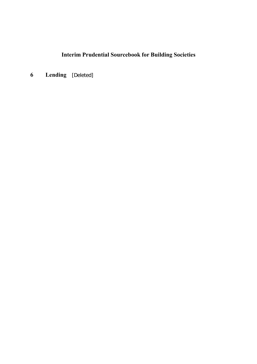**6 Lending** [Deleted]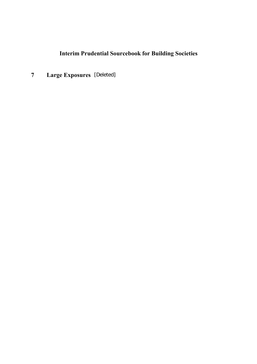**7 Large Exposures** [Deleted]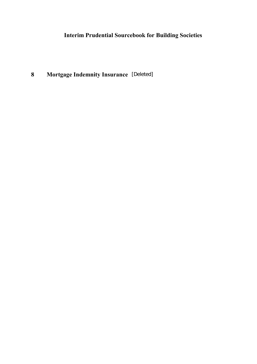**8 Mortgage Indemnity Insurance** [Deleted]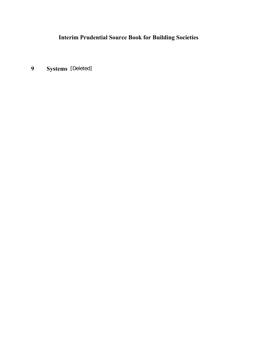**9 Systems** [Deleted]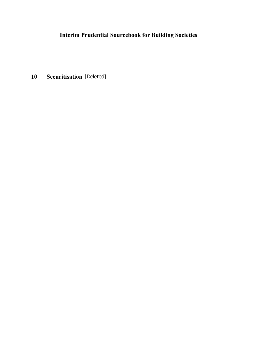**10 Securitisation** [Deleted]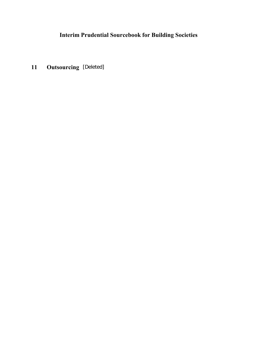**11 Outsourcing** [Deleted]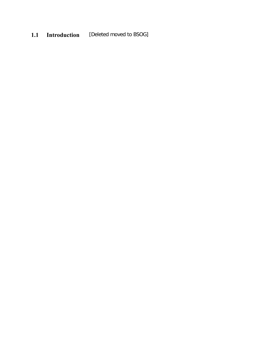# **1.1 Introduction** [Deleted moved to BSOG]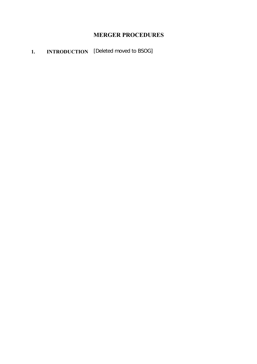# **MERGER PROCEDURES**

# **1. INTRODUCTION** [Deleted moved to BSOG]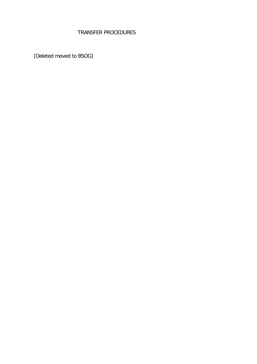# TRANSFER PROCEDURES

[Deleted moved to BSOG]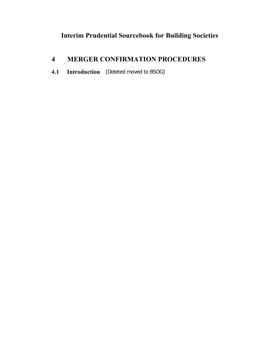# **4 MERGER CONFIRMATION PROCEDURES**

**4.1 Introduction** [Deleted moved to BSOG]